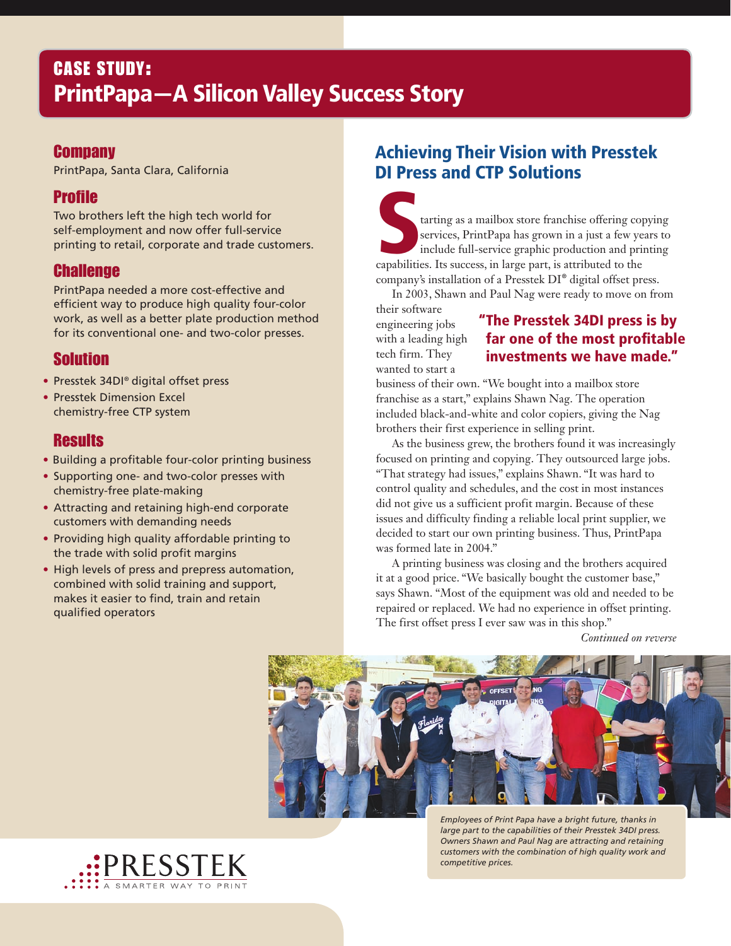# CASE STUDY: PrintPapa—A Silicon Valley Success Story

#### **Company**

PrintPapa, Santa Clara, California

#### Profile

Two brothers left the high tech world for self-employment and now offer full-service printing to retail, corporate and trade customers.

#### Challenge

PrintPapa needed a more cost-effective and efficient way to produce high quality four-color work, as well as a better plate production method for its conventional one- and two-color presses.

### Solution

- Presstek 34DI® digital offset press
- Presstek Dimension Excel chemistry-free CTP system

#### **Results**

- Building a profitable four-color printing business
- Supporting one- and two-color presses with chemistry-free plate-making
- Attracting and retaining high-end corporate customers with demanding needs
- Providing high quality affordable printing to the trade with solid profit margins
- High levels of press and prepress automation, combined with solid training and support, makes it easier to find, train and retain qualified operators

## Achieving Their Vision with Presstek DI Press and CTP Solutions

tarting as a mailbox store franchise offering copying<br>services, PrintPapa has grown in a just a few years to<br>include full-service graphic production and printing<br>capabilities. Its success, in large part, is attributed to t services, PrintPapa has grown in a just a few years to include full-service graphic production and printing capabilities. Its success, in large part, is attributed to the company's installation of a Presstek DI® digital offset press.

In 2003, Shawn and Paul Nag were ready to move on from

their software engineering jobs with a leading high tech firm. They wanted to start a

#### "The Presstek 34DI press is by far one of the most profitable investments we have made."

business of their own. "We bought into a mailbox store franchise as a start," explains Shawn Nag. The operation included black-and-white and color copiers, giving the Nag brothers their first experience in selling print.

As the business grew, the brothers found it was increasingly focused on printing and copying. They outsourced large jobs. "That strategy had issues," explains Shawn. "It was hard to control quality and schedules, and the cost in most instances did not give us a sufficient profit margin. Because of these issues and difficulty finding a reliable local print supplier, we decided to start our own printing business. Thus, PrintPapa was formed late in 2004."

A printing business was closing and the brothers acquired it at a good price. "We basically bought the customer base," says Shawn. "Most of the equipment was old and needed to be repaired or replaced. We had no experience in offset printing. The first offset press I ever saw was in this shop."

*Continued on reverse*



*Employees of Print Papa have a bright future, thanks in large part to the capabilities of their Presstek 34DI press. Owners Shawn and Paul Nag are attracting and retaining customers with the combination of high quality work and competitive prices.*